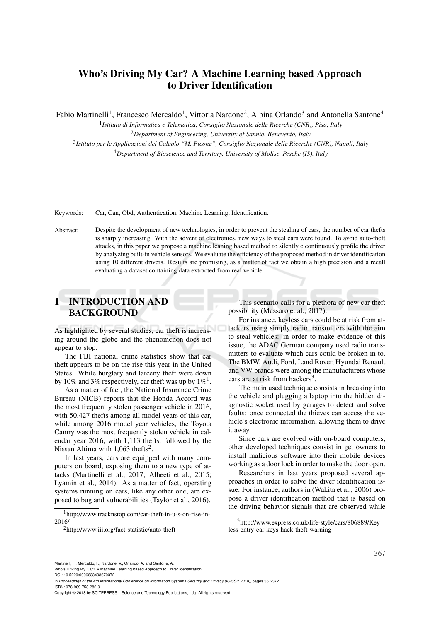# Who's Driving My Car? A Machine Learning based Approach to Driver Identification

Fabio Martinelli<sup>1</sup>, Francesco Mercaldo<sup>1</sup>, Vittoria Nardone<sup>2</sup>, Albina Orlando<sup>3</sup> and Antonella Santone<sup>4</sup>

 *Istituto di Informatica e Telematica, Consiglio Nazionale delle Ricerche (CNR), Pisa, Italy Department of Engineering, University of Sannio, Benevento, Italy Istituto per le Applicazioni del Calcolo "M. Picone", Consiglio Nazionale delle Ricerche (CNR), Napoli, Italy Department of Bioscience and Territory, University of Molise, Pesche (IS), Italy*

Keywords: Car, Can, Obd, Authentication, Machine Learning, Identification.

Abstract: Despite the development of new technologies, in order to prevent the stealing of cars, the number of car thefts is sharply increasing. With the advent of electronics, new ways to steal cars were found. To avoid auto-theft attacks, in this paper we propose a machine leaning based method to silently e continuously profile the driver by analyzing built-in vehicle sensors. We evaluate the efficiency of the proposed method in driver identification using 10 different drivers. Results are promising, as a matter of fact we obtain a high precision and a recall evaluating a dataset containing data extracted from real vehicle.

## 1 INTRODUCTION AND **BACKGROUND**

As highlighted by several studies, car theft is increasing around the globe and the phenomenon does not appear to stop.

The FBI national crime statistics show that car theft appears to be on the rise this year in the United States. While burglary and larceny theft were down by 10% and 3% respectively, car theft was up by  $1\%$ <sup>1</sup>.

As a matter of fact, the National Insurance Crime Bureau (NICB) reports that the Honda Accord was the most frequently stolen passenger vehicle in 2016, with 50,427 thefts among all model years of this car, while among 2016 model year vehicles, the Toyota Camry was the most frequently stolen vehicle in calendar year 2016, with 1,113 thefts, followed by the Nissan Altima with  $1,063$  thefts<sup>2</sup>.

In last years, cars are equipped with many computers on board, exposing them to a new type of attacks (Martinelli et al., 2017; Alheeti et al., 2015; Lyamin et al., 2014). As a matter of fact, operating systems running on cars, like any other one, are exposed to bug and vulnerabilities (Taylor et al., 2016).

This scenario calls for a plethora of new car theft possibility (Massaro et al., 2017).

For instance, keyless cars could be at risk from attackers using simply radio transmitters with the aim to steal vehicles: in order to make evidence of this issue, the ADAC German company used radio transmitters to evaluate which cars could be broken in to. The BMW, Audi, Ford, Land Rover, Hyundai Renault and VW brands were among the manufacturers whose cars are at risk from hackers<sup>3</sup>.

The main used technique consists in breaking into the vehicle and plugging a laptop into the hidden diagnostic socket used by garages to detect and solve faults: once connected the thieves can access the vehicle's electronic information, allowing them to drive it away.

Since cars are evolved with on-board computers, other developed techniques consist in get owners to install malicious software into their mobile devices working as a door lock in order to make the door open.

Researchers in last years proposed several approaches in order to solve the diver identification issue. For instance, authors in (Wakita et al., 2006) propose a driver identification method that is based on the driving behavior signals that are observed while

Martinelli, F., Mercaldo, F., Nardone, V., Orlando, A. and Santone, A.

DOI: 10.5220/0006633403670372

In *Proceedings of the 4th International Conference on Information Systems Security and Privacy (ICISSP 2018)*, pages 367-372 ISBN: 978-989-758-282-0

<sup>1</sup>http://www.tracknstop.com/car-theft-in-u-s-on-rise-in-2016/

<sup>2</sup>http://www.iii.org/fact-statistic/auto-theft

<sup>3</sup>http://www.express.co.uk/life-style/cars/806889/Key less-entry-car-keys-hack-theft-warning

Who's Driving My Car? A Machine Learning based Approach to Driver Identification.

Copyright © 2018 by SCITEPRESS – Science and Technology Publications, Lda. All rights reserved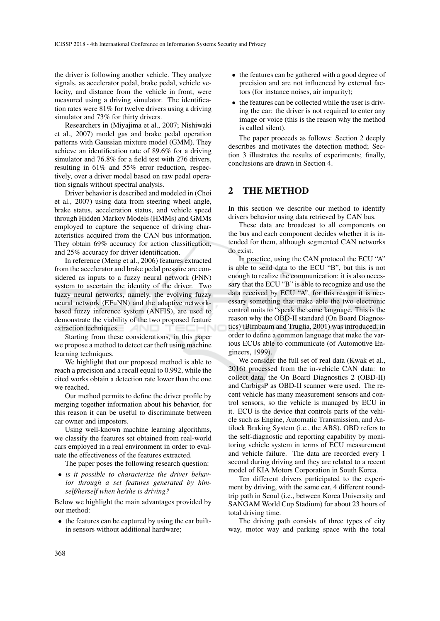the driver is following another vehicle. They analyze signals, as accelerator pedal, brake pedal, vehicle velocity, and distance from the vehicle in front, were measured using a driving simulator. The identification rates were 81% for twelve drivers using a driving simulator and 73% for thirty drivers.

Researchers in (Miyajima et al., 2007; Nishiwaki et al., 2007) model gas and brake pedal operation patterns with Gaussian mixture model (GMM). They achieve an identification rate of 89.6% for a driving simulator and 76.8% for a field test with 276 drivers, resulting in 61% and 55% error reduction, respectively, over a driver model based on raw pedal operation signals without spectral analysis.

Driver behavior is described and modeled in (Choi et al., 2007) using data from steering wheel angle, brake status, acceleration status, and vehicle speed through Hidden Markov Models (HMMs) and GMMs employed to capture the sequence of driving characteristics acquired from the CAN bus information. They obtain 69% accuracy for action classification, and 25% accuracy for driver identification.

In reference (Meng et al., 2006) features extracted from the accelerator and brake pedal pressure are considered as inputs to a fuzzy neural network (FNN) system to ascertain the identity of the driver. Two fuzzy neural networks, namely, the evolving fuzzy neural network (EFuNN) and the adaptive networkbased fuzzy inference system (ANFIS), are used to demonstrate the viability of the two proposed feature extraction techniques.

Starting from these considerations, in this paper we propose a method to detect car theft using machine learning techniques.

We highlight that our proposed method is able to reach a precision and a recall equal to 0.992, while the cited works obtain a detection rate lower than the one we reached.

Our method permits to define the driver profile by merging together information about his behavior, for this reason it can be useful to discriminate between car owner and impostors.

Using well-known machine learning algorithms, we classify the features set obtained from real-world cars employed in a real environment in order to evaluate the effectiveness of the features extracted.

The paper poses the following research question:

• *is it possible to characterize the driver behavior through a set features generated by himself/herself when he/she is driving?*

Below we highlight the main advantages provided by our method:

• the features can be captured by using the car builtin sensors without additional hardware;

- the features can be gathered with a good degree of precision and are not influenced by external factors (for instance noises, air impurity);
- the features can be collected while the user is driving the car: the driver is not required to enter any image or voice (this is the reason why the method is called silent).

The paper proceeds as follows: Section 2 deeply describes and motivates the detection method; Section 3 illustrates the results of experiments; finally, conclusions are drawn in Section 4.

### 2 THE METHOD

In this section we describe our method to identify drivers behavior using data retrieved by CAN bus.

These data are broadcast to all components on the bus and each component decides whether it is intended for them, although segmented CAN networks do exist.

In practice, using the CAN protocol the ECU "A" is able to send data to the ECU "B", but this is not enough to realize the communication: it is also necessary that the ECU "B" is able to recognize and use the data received by ECU "A", for this reason it is necessary something that make able the two electronic control units to "speak the same language. This is the reason why the OBD-II standard (On Board Diagnostics) (Birnbaum and Truglia, 2001) was introduced, in order to define a common language that make the various ECUs able to communicate (of Automotive Engineers, 1999).

We consider the full set of real data (Kwak et al., 2016) processed from the in-vehicle CAN data: to collect data, the On Board Diagnostics 2 (OBD-II) and CarbigsP as OBD-II scanner were used. The recent vehicle has many measurement sensors and control sensors, so the vehicle is managed by ECU in it. ECU is the device that controls parts of the vehicle such as Engine, Automatic Transmission, and Antilock Braking System (i.e., the ABS). OBD refers to the self-diagnostic and reporting capability by monitoring vehicle system in terms of ECU measurement and vehicle failure. The data are recorded every 1 second during driving and they are related to a recent model of KIA Motors Corporation in South Korea.

Ten different drivers participated to the experiment by driving, with the same car, 4 different roundtrip path in Seoul (i.e., between Korea University and SANGAM World Cup Stadium) for about 23 hours of total driving time.

The driving path consists of three types of city way, motor way and parking space with the total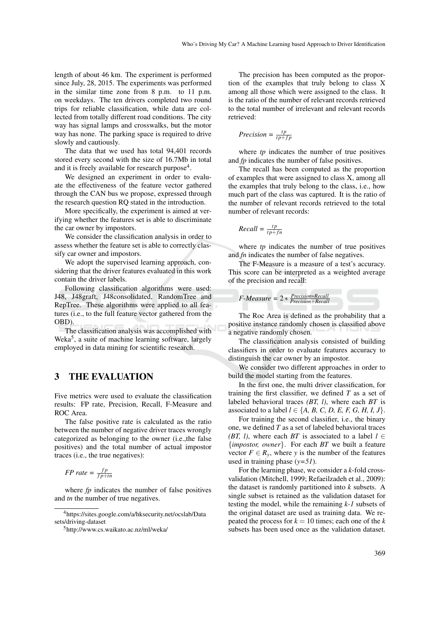length of about 46 km. The experiment is performed since July, 28, 2015. The experiments was performed in the similar time zone from 8 p.m. to 11 p.m. on weekdays. The ten drivers completed two round trips for reliable classification, while data are collected from totally different road conditions. The city way has signal lamps and crosswalks, but the motor way has none. The parking space is required to drive slowly and cautiously.

The data that we used has total 94,401 records stored every second with the size of 16.7Mb in total and it is freely available for research purpose<sup>4</sup>.

We designed an experiment in order to evaluate the effectiveness of the feature vector gathered through the CAN bus we propose, expressed through the research question RQ stated in the introduction.

More specifically, the experiment is aimed at verifying whether the features set is able to discriminate the car owner by impostors.

We consider the classification analysis in order to assess whether the feature set is able to correctly classify car owner and impostors.

We adopt the supervised learning approach, considering that the driver features evaluated in this work contain the driver labels.

Following classification algorithms were used: J48, J48graft, J48consolidated, RandomTree and RepTree. These algorithms were applied to all features (i.e., to the full feature vector gathered from the OBD).

The classification analysis was accomplished with Weka<sup>5</sup>, a suite of machine learning software, largely employed in data mining for scientific research.

### 3 THE EVALUATION

Five metrics were used to evaluate the classification results: FP rate, Precision, Recall, F-Measure and ROC Area.

The false positive rate is calculated as the ratio between the number of negative driver traces wrongly categorized as belonging to the owner (i.e.,the false positives) and the total number of actual impostor traces (i.e., the true negatives):

*FP* rate =  $\frac{fp}{fp+tn}$ 

where *fp* indicates the number of false positives and *tn* the number of true negatives.

The precision has been computed as the proportion of the examples that truly belong to class X among all those which were assigned to the class. It is the ratio of the number of relevant records retrieved to the total number of irrelevant and relevant records retrieved:

$$
Precision = \frac{tp}{tp + fp}
$$

where *tp* indicates the number of true positives and *fp* indicates the number of false positives.

The recall has been computed as the proportion of examples that were assigned to class X, among all the examples that truly belong to the class, i.e., how much part of the class was captured. It is the ratio of the number of relevant records retrieved to the total number of relevant records:

$$
Recall = \frac{tp}{tp + fn}
$$

where *tp* indicates the number of true positives and *fn* indicates the number of false negatives.

The F-Measure is a measure of a test's accuracy. This score can be interpreted as a weighted average of the precision and recall:



The Roc Area is defined as the probability that a positive instance randomly chosen is classified above a negative randomly chosen.

The classification analysis consisted of building classifiers in order to evaluate features accuracy to distinguish the car owner by an impostor.

We consider two different approaches in order to build the model starting from the features.

In the first one, the multi driver classification, for training the first classifier, we defined *T* as a set of labeled behavioral traces *(BT, l)*, where each *BT* is associated to a label  $l \in \{A, B, C, D, E, F, G, H, I, J\}.$ 

For training the second classifier, i.e., the binary one, we defined *T* as a set of labeled behavioral traces *(BT, l)*, where each *BT* is associated to a label  $l \in$ {*impostor, owner*}. For each *BT* we built a feature vector  $F \in R_v$ , where *y* is the number of the features used in training phase (*y=51*).

For the learning phase, we consider a *k*-fold crossvalidation (Mitchell, 1999; Refaeilzadeh et al., 2009): the dataset is randomly partitioned into *k* subsets. A single subset is retained as the validation dataset for testing the model, while the remaining *k-1* subsets of the original dataset are used as training data. We repeated the process for  $k = 10$  times; each one of the  $k$ subsets has been used once as the validation dataset.

<sup>4</sup>https://sites.google.com/a/hksecurity.net/ocslab/Data sets/driving-dataset

<sup>5</sup>http://www.cs.waikato.ac.nz/ml/weka/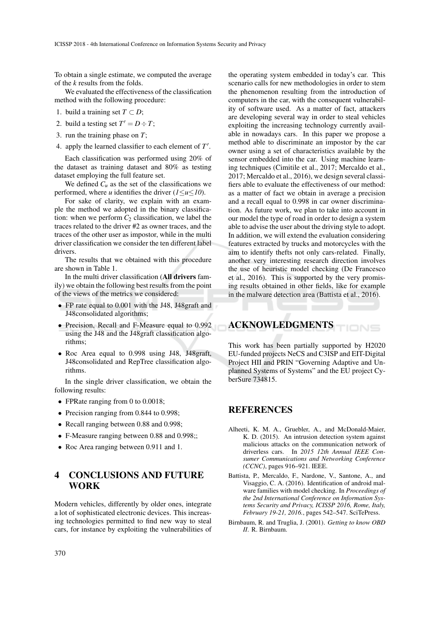To obtain a single estimate, we computed the average of the *k* results from the folds.

We evaluated the effectiveness of the classification method with the following procedure:

- 1. build a training set  $T \subset D$ ;
- 2. build a testing set  $T' = D \div T$ ;
- 3. run the training phase on *T*;
- 4. apply the learned classifier to each element of T'.

Each classification was performed using 20% of the dataset as training dataset and 80% as testing dataset employing the full feature set.

We defined  $C_u$  as the set of the classifications we performed, where *u* identifies the driver (*1*≤*u*≤*10*).

For sake of clarity, we explain with an example the method we adopted in the binary classification: when we perform  $C_2$  classification, we label the traces related to the driver #2 as owner traces, and the traces of the other user as impostor, while in the multi driver classification we consider the ten different label drivers.

The results that we obtained with this procedure are shown in Table 1.

In the multi driver classification (All drivers family) we obtain the following best results from the point of the views of the metrics we considered:

- FP rate equal to 0.001 with the J48, J48graft and J48consolidated algorithms;
- Precision, Recall and F-Measure equal to 0.992 using the J48 and the J48graft classification algorithms;
- Roc Area equal to 0.998 using J48, J48graft, J48consolidated and RepTree classification algorithms.

In the single driver classification, we obtain the following results:

- FPRate ranging from 0 to 0.0018;
- Precision ranging from 0.844 to 0.998;
- Recall ranging between 0.88 and 0.998;
- F-Measure ranging between 0.88 and 0.998;;
- Roc Area ranging between 0.911 and 1.

## 4 CONCLUSIONS AND FUTURE WORK

Modern vehicles, differently by older ones, integrate a lot of sophisticated electronic devices. This increasing technologies permitted to find new way to steal cars, for instance by exploiting the vulnerabilities of

the operating system embedded in today's car. This scenario calls for new methodologies in order to stem the phenomenon resulting from the introduction of computers in the car, with the consequent vulnerability of software used. As a matter of fact, attackers are developing several way in order to steal vehicles exploiting the increasing technology currently available in nowadays cars. In this paper we propose a method able to discriminate an impostor by the car owner using a set of characteristics available by the sensor embedded into the car. Using machine learning techniques (Cimitile et al., 2017; Mercaldo et al., 2017; Mercaldo et al., 2016), we design several classifiers able to evaluate the effectiveness of our method: as a matter of fact we obtain in average a precision and a recall equal to 0.998 in car owner discrimination. As future work, we plan to take into account in our model the type of road in order to design a system able to advise the user about the driving style to adopt. In addition, we will extend the evaluation considering features extracted by trucks and motorcycles with the aim to identify thefts not only cars-related. Finally, another very interesting research direction involves the use of heuristic model checking (De Francesco et al., 2016). This is supported by the very promising results obtained in other fields, like for example in the malware detection area (Battista et al., 2016).

#### ACKNOWLEDGMENTS TIONS

This work has been partially supported by H2020 EU-funded projects NeCS and C3ISP and EIT-Digital Project HII and PRIN "Governing Adaptive and Unplanned Systems of Systems" and the EU project CyberSure 734815.

#### REFERENCES

- Alheeti, K. M. A., Gruebler, A., and McDonald-Maier, K. D. (2015). An intrusion detection system against malicious attacks on the communication network of driverless cars. In *2015 12th Annual IEEE Consumer Communications and Networking Conference (CCNC)*, pages 916–921. IEEE.
- Battista, P., Mercaldo, F., Nardone, V., Santone, A., and Visaggio, C. A. (2016). Identification of android malware families with model checking. In *Proceedings of the 2nd International Conference on Information Systems Security and Privacy, ICISSP 2016, Rome, Italy, February 19-21, 2016.*, pages 542–547. SciTePress.
- Birnbaum, R. and Truglia, J. (2001). *Getting to know OBD II*. R. Birnbaum.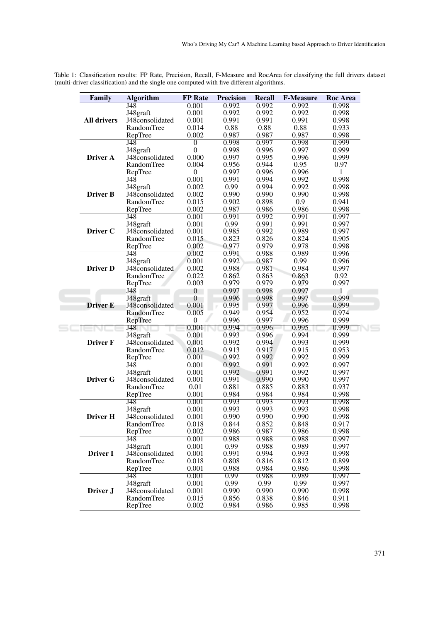Table 1: Classification results: FP Rate, Precision, Recall, F-Measure and RocArea for classifying the full drivers dataset (multi-driver classification) and the single one computed with five different algorithms.

| Family             | <b>Algorithm</b>            | <b>FP</b> Rate   | <b>Precision</b> | <b>Recall</b>  | <b>F-Measure</b> | <b>Roc Area</b> |
|--------------------|-----------------------------|------------------|------------------|----------------|------------------|-----------------|
|                    | J48                         | 0.001            | 0.992            | 0.992          | 0.992            | 0.998           |
|                    | J48graft                    | 0.001            | 0.992            | 0.992          | 0.992            | 0.998           |
| <b>All drivers</b> | J48consolidated             | 0.001            | 0.991            | 0.991          | 0.991            | 0.998           |
|                    | RandomTree                  | 0.014            | 0.88             | 0.88           | 0.88             | 0.933           |
|                    | RepTree                     | 0.002            | 0.987            | 0.987          | 0.987            | 0.998           |
|                    | $\overline{148}$            | $\overline{0}$   | 0.998            | 0.997          | 0.998            | 0.999           |
|                    | J48graft                    | $\boldsymbol{0}$ | 0.998            | 0.996          | 0.997            | 0.999           |
| <b>Driver A</b>    | J48consolidated             | 0.000            | 0.997            | 0.995          | 0.996            | 0.999           |
|                    | RandomTree                  | 0.004            | 0.956            | 0.944          | 0.95             | 0.97            |
|                    | RepTree                     | $\boldsymbol{0}$ | 0.997            | 0.996          | 0.996            | 1               |
|                    | J48                         | 0.001            | 0.991            | 0.994          | 0.992            | 0.998           |
|                    | J48graft                    | 0.002            | 0.99             | 0.994          | 0.992            | 0.998           |
| <b>Driver B</b>    | J48consolidated             | 0.002            | 0.990            | 0.990          | 0.990            | 0.998           |
|                    | RandomTree                  | 0.015            | 0.902            | 0.898          | 0.9              | 0.941           |
|                    | RepTree                     | 0.002            | 0.987            | 0.986          | 0.986            | 0.998           |
|                    | $\overline{J48}$            | 0.001            | 0.991            | 0.992          | 0.991            | 0.997           |
|                    | J48graft                    | 0.001            | 0.99             | 0.991          | 0.991            | 0.997           |
| Driver C           | J48consolidated             | 0.001            | 0.985            | 0.992          | 0.989            | 0.997           |
|                    | RandomTree                  | 0.015            | 0.823            | 0.826          | 0.824            | 0.905           |
|                    | RepTree                     | 0.002            | 0.977            | 0.979          | 0.978            | 0.998           |
|                    | $J\overline{48}$            | 0.002            | 0.991            | 0.988          | 0.989            | 0.996           |
|                    | J48graft                    | 0.001            | 0.992            | 0.987          | 0.99             | 0.996           |
| <b>Driver D</b>    | J48consolidated             | 0.002            | 0.988            | 0.981          | 0.984            | 0.997           |
|                    | RandomTree                  | 0.022            | 0.862            | 0.863          | 0.863            | 0.92            |
|                    | RepTree                     | 0.003            | 0.979            | 0.979          | 0.979            | 0.997           |
|                    | J48                         | $\overline{0}$   | 0.997            | 0.998          | 0.997            | 1               |
|                    | J48graft                    | $\overline{0}$   | 0.996            | 0.998          | 0.997            | 0.999           |
| <b>Driver E</b>    | J48consolidated             | 0.001            | 0.995            | 0.997          | 0.996            | 0.999           |
|                    | RandomTree                  | 0.005            | 0.949            | 0.954          | 0.952            | 0.974           |
|                    | RepTree                     | $\boldsymbol{0}$ | 0.996            | 0.997          | 0.996            | 0.999           |
|                    | J48                         | 0.001            | 0.994            | 0.996          | 0.995            | 0.999           |
|                    | J48graft                    | 0.001            | 0.993<br>0.992   | 0.996<br>0.994 | 0.994<br>0.993   | 0.999<br>0.999  |
| <b>Driver F</b>    | J48consolidated             | 0.001<br>0.012   | 0.913            |                | 0.915            |                 |
|                    | RandomTree                  | 0.001            | 0.992            | 0.917<br>0.992 | 0.992            | 0.953           |
|                    | RepTree<br>$J\overline{48}$ | 0.001            | 0.992            | 0.991          | 0.992            | 0.999<br>0.997  |
|                    |                             | 0.001            | 0.992            | 0.991          | 0.992            | 0.997           |
| <b>Driver G</b>    | J48graft<br>J48consolidated | 0.001            | 0.991            | 0.990          | 0.990            | 0.997           |
|                    | RandomTree                  | 0.01             | 0.881            | 0.885          | 0.883            | 0.937           |
|                    | RepTree                     | 0.001            | 0.984            | 0.984          | 0.984            | 0.998           |
|                    | $J\overline{48}$            | 0.001            | 0.993            | 0.993          | 0.993            | 0.998           |
|                    | J48graft                    | 0.001            | 0.993            | 0.993          | 0.993            | 0.998           |
| Driver H           | J48consolidated             | 0.001            | 0.990            | 0.990          | 0.990            | 0.998           |
|                    | Random Free                 |                  | 0.844            | 0.852          | 0.848            |                 |
|                    | RepTree                     | 0.018<br>0.002   | 0.986            | 0.987          | 0.986            | 0.917<br>0.998  |
|                    | $\overline{J48}$            | 0.001            | 0.988            | 0.988          | 0.988            | 0.997           |
|                    | J48graft                    | 0.001            | 0.99             | 0.988          | 0.989            | 0.997           |
| Driver I           | J48consolidated             | 0.001            | 0.991            | 0.994          | 0.993            | 0.998           |
|                    | RandomTree                  | 0.018            | 0.808            | 0.816          | 0.812            | 0.899           |
|                    | RepTree                     | 0.001            | 0.988            | 0.984          | 0.986            | 0.998           |
|                    | J48                         | 0.001            | 0.99             | 0.988          | 0.989            | 0.997           |
|                    | J48graft                    | 0.001            | 0.99             | 0.99           | 0.99             | 0.997           |
| Driver J           | J48consolidated             | 0.001            | 0.990            | 0.990          | 0.990            | 0.998           |
|                    |                             |                  |                  |                |                  |                 |
|                    | RandomTree                  | 0.015            | 0.856            | 0.838          | 0.846            | 0.911           |